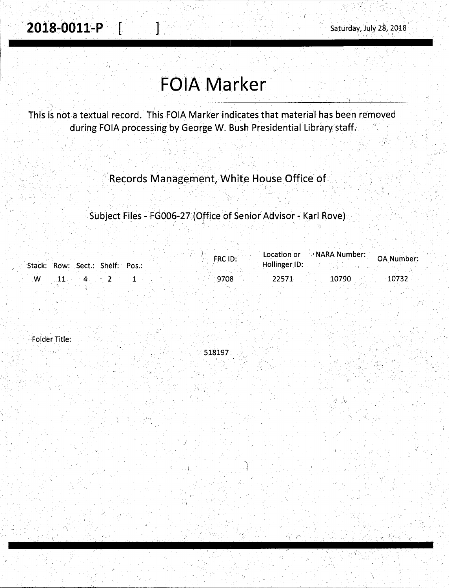$\cdots$ 

 $_{\rm{ref}}$  ,  $_{\rm{ref}}$ 

.,

'.

# **FOIA Marker**

- \ This is not-a textual record. This FOIA Marker indicates that material has been removed during FOIA processing by George W. Bush Presidential Library staff.

Records Management, White House Office of

. . .Subject Files - FG006-27 (Office of Senior Advisor - Karl Rove) <sub>.</sub>

|             |                                 |  | FRC ID: |               | Location or NARA Number: | <b>OA Number:</b> |
|-------------|---------------------------------|--|---------|---------------|--------------------------|-------------------|
|             | Stack: Row: Sect.: Shelf: Pos.: |  |         | Hollinger ID: |                          |                   |
| $W_{\cdot}$ |                                 |  | .9708   | 22571         | 10790                    | 10732             |

, Folder Title:

518197

\ j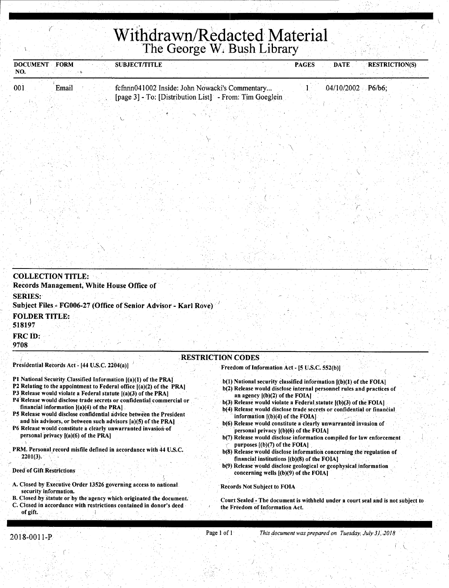## **Kithdrawn/Redacted Material** *Withdrawn/Redacted Material* The George W. Bush Library

| <b>DOCUMENT</b><br>NO.                     | <b>FORM</b>                                                                           | <b>SUBJECT/TITLE</b>                                                                                                                                                                                                                                                                                                                                                                                                                                                                        | <b>PAGES</b>                                                                                                                                                                                                                                                                                                                                                                                                                                                                                                                                                                                  | <b>RESTRICTION(S)</b><br><b>DATE</b> |
|--------------------------------------------|---------------------------------------------------------------------------------------|---------------------------------------------------------------------------------------------------------------------------------------------------------------------------------------------------------------------------------------------------------------------------------------------------------------------------------------------------------------------------------------------------------------------------------------------------------------------------------------------|-----------------------------------------------------------------------------------------------------------------------------------------------------------------------------------------------------------------------------------------------------------------------------------------------------------------------------------------------------------------------------------------------------------------------------------------------------------------------------------------------------------------------------------------------------------------------------------------------|--------------------------------------|
| 001                                        | Email                                                                                 | fcfnnn041002 Inside: John Nowacki's Commentary<br>[page 3] - To: [Distribution List] - From: Tim Goeglein                                                                                                                                                                                                                                                                                                                                                                                   |                                                                                                                                                                                                                                                                                                                                                                                                                                                                                                                                                                                               | $04/10/2002$ P6/b6;                  |
|                                            |                                                                                       |                                                                                                                                                                                                                                                                                                                                                                                                                                                                                             |                                                                                                                                                                                                                                                                                                                                                                                                                                                                                                                                                                                               |                                      |
|                                            |                                                                                       |                                                                                                                                                                                                                                                                                                                                                                                                                                                                                             |                                                                                                                                                                                                                                                                                                                                                                                                                                                                                                                                                                                               |                                      |
|                                            |                                                                                       |                                                                                                                                                                                                                                                                                                                                                                                                                                                                                             |                                                                                                                                                                                                                                                                                                                                                                                                                                                                                                                                                                                               |                                      |
|                                            |                                                                                       |                                                                                                                                                                                                                                                                                                                                                                                                                                                                                             |                                                                                                                                                                                                                                                                                                                                                                                                                                                                                                                                                                                               |                                      |
|                                            |                                                                                       |                                                                                                                                                                                                                                                                                                                                                                                                                                                                                             |                                                                                                                                                                                                                                                                                                                                                                                                                                                                                                                                                                                               |                                      |
| <b>COLLECTION TITLE:</b><br><b>SERIES:</b> | Records Management, White House Office of                                             |                                                                                                                                                                                                                                                                                                                                                                                                                                                                                             |                                                                                                                                                                                                                                                                                                                                                                                                                                                                                                                                                                                               |                                      |
| <b>FOLDER TITLE:</b><br>518197             |                                                                                       | Subject Files - FG006-27 (Office of Senior Advisor - Karl Rove)                                                                                                                                                                                                                                                                                                                                                                                                                             |                                                                                                                                                                                                                                                                                                                                                                                                                                                                                                                                                                                               |                                      |
| FRC ID:<br>9708                            |                                                                                       |                                                                                                                                                                                                                                                                                                                                                                                                                                                                                             |                                                                                                                                                                                                                                                                                                                                                                                                                                                                                                                                                                                               |                                      |
|                                            | Presidential Records Act - [44 U.S.C. 2204(a)]                                        | <b>RESTRICTION CODES</b>                                                                                                                                                                                                                                                                                                                                                                                                                                                                    | Freedom of Information Act - [5 U.S.C. 552(b)]                                                                                                                                                                                                                                                                                                                                                                                                                                                                                                                                                |                                      |
| $\cdot$ ).                                 | financial information $[(a)(4)$ of the PRA.<br>personal privacy $[(a)(6)$ of the PRA] | P1 National Security Classified Information [(a)(1) of the PRA]<br>P2 Relating to the appointment to Federal office [(a)(2) of the PRA]<br>P3 Release would violate a Federal statute ((a)(3) of the PRA)<br>P4 Release would disclose trade secrets or confidential commercial or<br>P5 Release would disclose confidential advice between the President<br>and his advisors, or between such advisors [a](5) of the PRA]<br>P6 Release would constitute a clearly unwarranted invasion of | b(1) National security classified information [(b)(1) of the FOIA]<br>b(2) Release would disclose internal personnel rules and practices of<br>an agency $[(b)(2)$ of the FOIA]<br>b(3) Release would violate a Federal statute [(b)(3) of the FOIA]<br>b(4) Release would disclose trade secrets or confidential or financial<br>information $[(b)(4)$ of the FOIA.<br>b(6) Release would constitute a clearly unwarranted invasion of<br>personal privacy $[(b)(6)$ of the FOIA]<br>b(7) Release would disclose information compiled for law enforcement<br>purposes $[(b)(7)$ of the FOIA] |                                      |

PRM. Personal record misfile defined in accordance with 44 U.S.C.  $2201(3)$ .

#### Deed of Gift Restrictions

- A. Closed by Executive Order 13526 governing access to national security information.
- B. Closed by statute or by the agency which originated the document. C. Closed in accordance with restrictions contained in donor's deed
- of gift.
- b(8) Release would disclose information concerning the regulation of financial institutions  $[(b)(8)$  of the FOIA]
- b(9) Release would disclose geological or geophysical information concerning wells  $[(b)(9)$  of the FOIA]

Records Not Subject to FOIA

Court Sealed - The document is withheld under a court seal and is not subject to the Freedom of Information Act.

(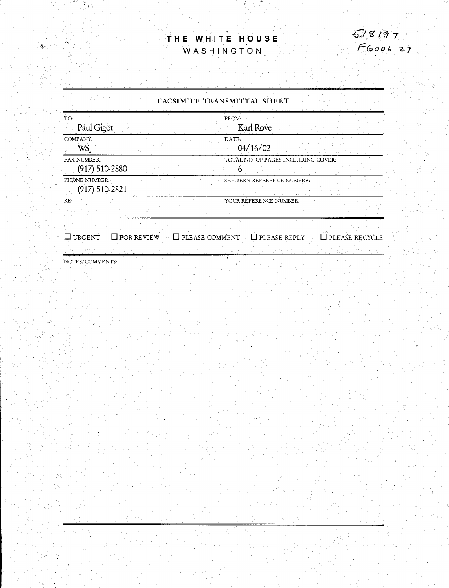### **THE WHITE HOUSE**  WASHINGTON.

 $\frac{3}{2}$ 

ng Salawan

 $518197$  $F6006 - 27$ 

#### FACSIMILE TRANSMITTAL SHEET

| TO:<br>Paul Gigot                        | FRÖM:<br>Karl Rove                  |
|------------------------------------------|-------------------------------------|
| COMPANY:<br>WS'                          | DATE:<br>04/16/02                   |
| <b>FAX NUMBER:</b><br>$(917) 510 - 2880$ | TOTAL NO. OF PAGES INCLUDING COVER: |
| PHONE NUMBER:<br>$(917) 510 - 2821$      | SENDER'S REFERENCE NUMBER:          |
| RE:                                      | YOUR REFERENCE NUMBER:              |

 $\Box$  URGENT  $\Box$  FOR REVIEW  $\Box$  PLEASE COMMENT  $\Box$  PLEASE REPLY  $\Box$  PLEASE RECYCLE

NOTES/COMMENTS:

ÿ.

 $\tilde{\bm{s}}$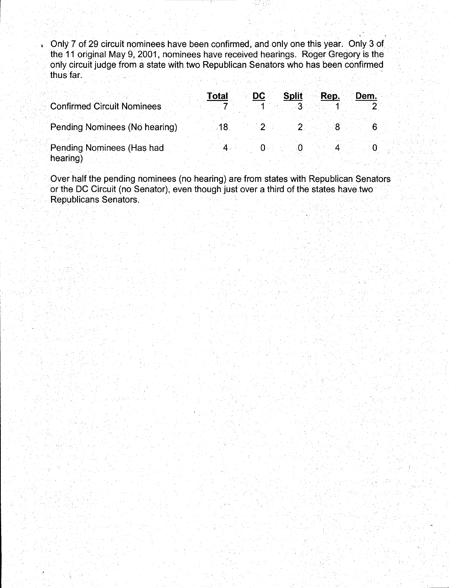Only 7 of 29 circuit nominees have been confirmed, and only one this year. Only 3 of the 11 original May 9, 2001, nominees have received hearings. Roger Gregory is the orily circuit judge from a state with two Republican Senators who has been confirmed **thus far.** "See Mary when the structure is the seed of the property factory in the world for

 $\mathcal{I} = \{ \mathcal{I}_1, \mathcal{I}_2, \ldots, \mathcal{I}_n \}$  . The set of  $\mathcal{I}_1$  is the set of  $\mathcal{I}_2$ 

|                                       | DC -<br><b>Total</b> | <b>Split</b><br>Rep.<br>Dem. |
|---------------------------------------|----------------------|------------------------------|
| <b>Confirmed Circuit Nominees</b>     |                      |                              |
| Pending Nominees (No hearing)         |                      |                              |
| Pending Nominees (Has had<br>hearing) |                      |                              |

Over half the pending nominees (no hearing) are from states with Republican Senators or the DC Circuit (no Senator), even though just over a third of the states have two Republicans Senators.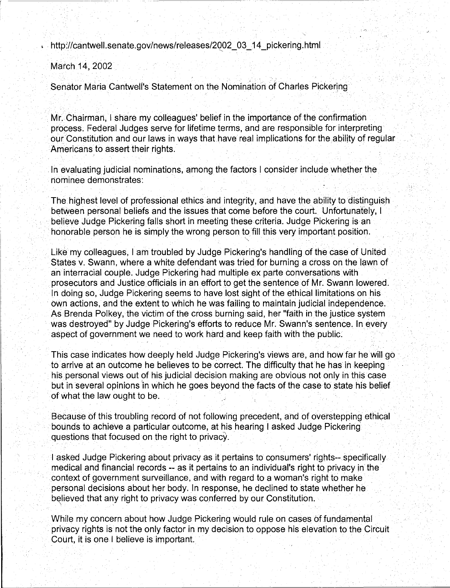http://cantwell.senate.gov/news/releases/2002 03 14 pickering.html

March 14, 2002

Senator Maria Cantwell's Statement on the Nomination of Charles Pickering

Mr. Chairman, I share my colleagues' belief in the importance of the confirmation process. Federal Judges serve for lifetime terms, and are responsible for interpreting our Constitution and our laws in ways that have real implications for the ability of regular Americans to assert their rights .

' . ·. ·. .

. In evaluating judicial nominations, among the factors I consider include whether the nominee demonstrates:

The highest level of professional ethics and integrity, and have the ability to distinguish between personal beliefs and the issues that come before the court. Unfortunately, I believe Judge Pickering falls short in meeting these criteria. Judge Pickering is an honorable person he is simply the wrong person to fill this very important position. ·.,

Like my colleagues, I am troubled by Judge Pickering's handling of the case of United States v. Swann, where a white defendant was tried for burning a cross on the lawn of an interracial couple. Judge Pickering had multiple ex parte conversations with prosecutors and Justice officials in an effort to get the sentence of Mr. Swann lowered. In doing so, Judge Pickering seems to have lost sight of the ethical limitations on his own actions, and the extent to which he was failing to maintain judicial independence. As Brenda Polkey, the victim of the cross burning said, her "faith in the justice system was destroyed" by Judge Pickering's efforts to reduce Mr. Swann's sentence. In every aspect of government we need to work hard and keep faith with the public.

This case indicates how deeply held Judge Pickering's views are, and how far he will go · to arrive at an outcome he believes to be correct. The difficulty that he has in keeping his personal views out of his judicial decision making are obvious not only in this case but in several opinions in which he goes beyond the facts of the case to state his belief of what the law ought to be.

Because of this troubling record of not following precedent, and of overstepping ethical bounds to achieve a particular outcome, at his hearing I asked Judge Pickering· questions that focused on the right to privacy.

I asked Judge Pickering about privacy as it pertains to consumers' rights-- specifically medical and financial records -- as it pertains to an individual's right to privacy in the context of government surveillance, and with regard to a woman's right to make personal decisions about her body. In response, he declined to state whether he believed that any right to privacy was conferred by our Constitution.

While my concern about how Judge Pickering would rule on cases of fundamental privacy rights is not the only factor in my decision to oppose his elevation to the Circuit Court, it is one I believe is important.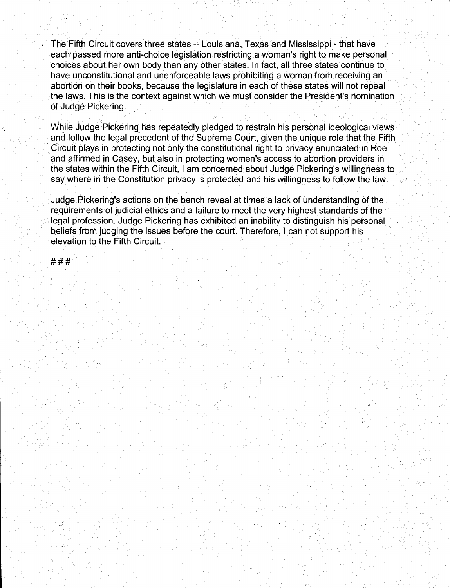The Fifth Circuit covers three states -- Louisiana, Texas and Mississippi - that have each passed more anti-choice legislation restricting a woman's right to make personal choices about her own body than any other states. In fact, all three states continue to have unconstitutional and unenforceable laws prohibiting a woman from receiving an abortion on their books, because the legislature in each of these states will not repeal the laws. This is the context against which we must consider the President's nomination of Judge Pickering.

While Judge Pickering has repeatedly pledged to restrain his personal ideological views and follow the legal precedent of the Supreme Court, given the unique role that the Fifth Circuit plays in protecting not only the constitutional right to privacy enunciated in Roe and affirmed in Casey, but also in protecting women's access to abortion providers in the states within the Fifth Circuit, I am concerned about Judge Pickering's willingness to say where in the Constitution privacy is protected and his willingness to follow the law.

Judge Pickering's actions on the bench reveal at times a lack of understanding of the requirements of judicial ethics and a failure to meet the very highest standards of the legal profession. Judge Pickering has exhibited an inability to distinguish his personal beliefs from judging the issues before the court. Therefore, I can not support his elevation to the Fifth Circuit. <sup>1</sup>

###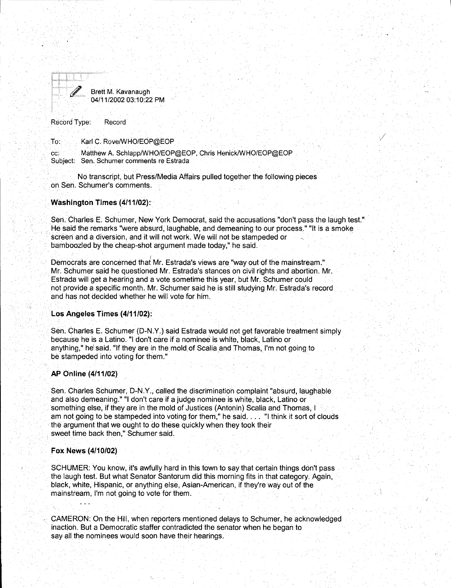

TO: Karl C. Rove/WHO/EOP@EOP

cc: Matthew A. Schlapp/WHO/EOP@EOP, Chris Henick/WHO/EOP@EOP Subject: Sen. Schumer comments re Estrada

No transcript, but Press/Media Affairs pulled together the following pieces on Seh. Schumer's comments. ·

#### **Washington Times (4/11'/02):**

Seri. Charles E. Schumer, New York Democrat, said the accusations "don't pass the laugh test." He said the remarks "were absurd, laughable, and demeaning to our process." "It is a smoke screen and a diversion, and it will not work. We will not be stampeded or bamboozled by the cheap-shot argument made today," he said.

*/* 

Democrats are concerned that Mr. Estrada's views are "way out of the mainstream." Mr. Schumer said he questioned Mr. Estrada's stances on civil rights and abortion. Mr. Estrada will get a hearing and a vote sometime this year, but Mr. Schumer could not provide a specific month. Mr. Schumer said he is still studying Mr. Estrada's record and has not decided whether he will vote for him.

#### **Los Angeles Times (4/11/02):**

Sen. Charles E. Schumer (D-N.Y.) said Estrada would not get favorable treatment simply because he is a Latino. "I don't care if a nominee is white, black, Latino or anything," he said. "If they are in the mold of Scalia and Thomas, I'm not going to be stampeded into voting for them."

#### **AP Online (4/11/02)**

Sen. Charles Schumer, D-N.Y., called the discrimination complaint "absurd, laughable and also demeaning." "I don't care if a judge nominee is white, black, Latino or something else, if they are in the mold of Justices (Antonin) Scalia and Thomas. I am not going to be stampeded into voting for them," he said.... "I think it sort of clouds the argument that we ought to do these quickly when they took their . sweet time back then," Schumer said.

#### **Fox News (4/10/02)**

SCHUMER: You know, it's awfully hard in this town to saythat certain things don't pass the laugh test. But what Senator Santorum did this morning fits in that category. Again, black, white, Hispanic, or anything else, Asian-American, if they're way out of the mainstream, I'm not going to vote for them.

- CAMERON: On the Hill, when reporters mentioned delays to Schumer, he acknowledged inaction. But a Democratic staffer contradicted the senator when he began to say all the nominees would soon have their hearings.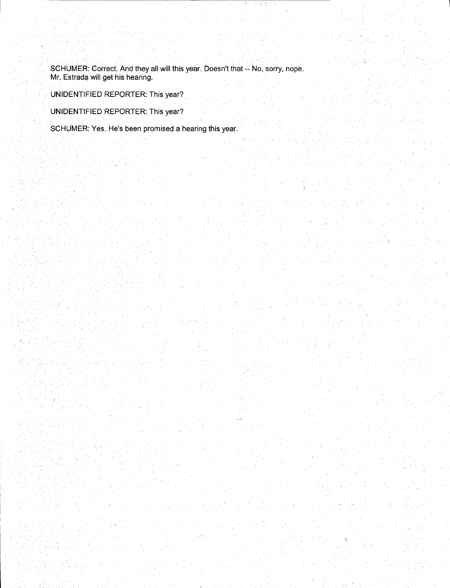SCHUMER: Correct. And they all will this year. Doesn't that -- No, sorry, nope. Mr. Estrada. will get his hearing.

UNIDENTIFIED REPORTER: This year?

UNIDENTIFIED REPORTER: This year?

SCHUMER: Yes. He's been promised a hearing this year.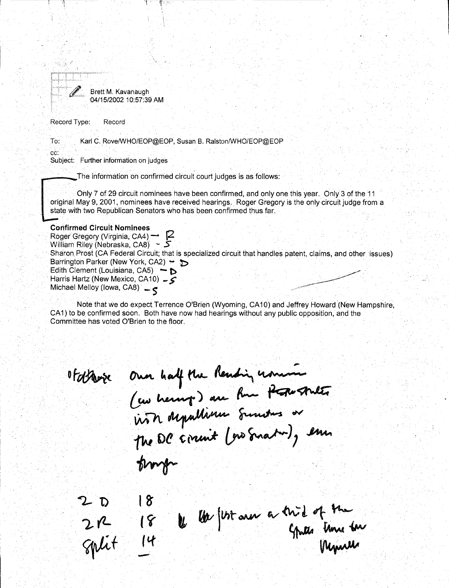

To: Karl C. Rove/WHO/EOP@EOP, Susan 8. Ralston/WHO/EOP@EOP

 $1 - 4$ er

cc:

부상용의

Subject: Further information on judges

The information on confirmed circuit court judges is as follows:

Only 7 of 29 circuit nominees have been confirmed, and only one this year. Only 3 of the 11 original May 9, 2001, nominees have received hearings. Roger Gregory is the only circuit judge from a state with two Republican Senators who has been confirmed thus far.

#### **Confirmed Circuit Nominees**

Roger Gregory (Virginia, CA4)<sup>-</sup> **2** William Riley (Nebraska, CAB) - **S**  Sharon. Prost (CA Federal Circuit; that is specialized circuit that handles patent, claims, and other issues) Barrington Parker (New York, CA2) ~  $\triangleright$ Edith Clement (Louisiana, CA5)  $\rightarrow$  **D** · Harris Hartz (New Mexico, CA 10) \_ *>*  Michael Melloy (Iowa, CA8) - <

Note that we do expect Terrence O'Brien (Wyoming, CA10) and Jeffrey Howard (New Hampshire, CA1) to be confirmed soon. Both have now had hearings without any public opposition, and the Committee has voted O'Brien to the floor.

OF otherse Our half the Rending union of the states trong  $18$ 

2  $\frac{18}{2}$  18  $\frac{18}{14}$  the first one a trid of the grant of the spirit  $\frac{18}{9}$  is the first spirit of the formula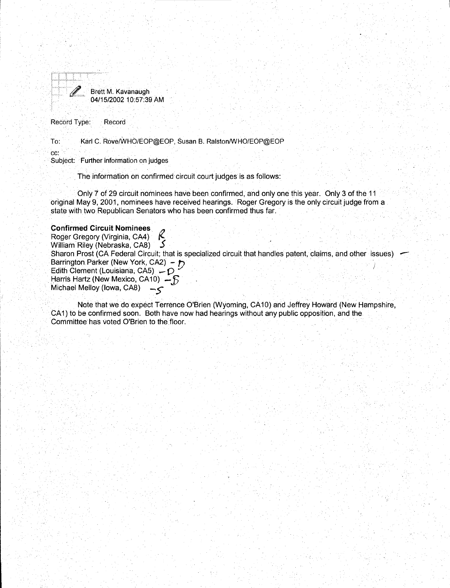

To: Karl C. Rove/WHO/EOP@EOP, Susan B. Ralston/WHO/EOP@EOP

cc:

I

Subject: Further information on judges

The information on confirmed circuit court judges is as follows:

Only 7 of 29 circuit nominees have been confirmed, and only one this year. Only 3 of the 11 original May 9, 2001, nominees have received hearings. Roger Gregory is the only circuit judge from a state with two Republican Senators who has been confirmed thus far.

#### **Confirmed Circuit Nominees**

Roger Gregory (Virginia, CA4)<br>William Riley (Nebraska, CA8) William Riley (Nebraska, CA8) Sharon Prost (CA Federal Circuit; that is specialized circuit that handles patent, claims, and other issues) Barrington Parker (New York, CA2) *- }* Edith Clement (Louisiana, CA5)  $-\mathcal{D}$ Harris Hartz (New Mexico, CA10)  $-5$ Michael Melloy (Iowa, CA8)  $-5$ 

Note that we do expect Terrence O'Brien (Wyoming, CA 10) and Jeffrey Howard (New Hampshire, CA1) to be confirmed soon. Both have now had hearings without any public opposition, and the Committee has voted O'Brien to the floor.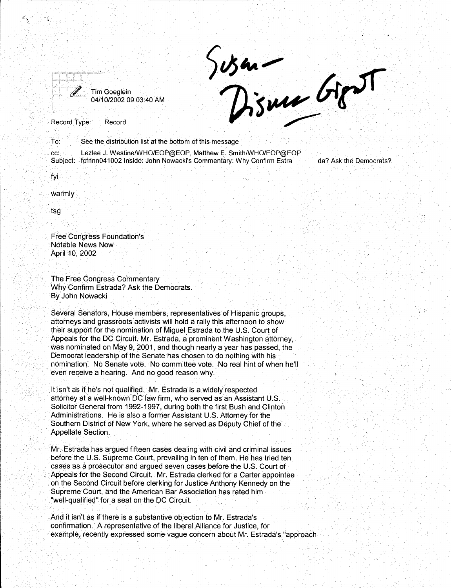

Susan -<br>Disme Goot

. To: See the distribution list at the bottom of this message

cc: Lezlee J. Westine/WHO/EOP@EOP, Matthew E. Smith/WHO/EOP@EOP Subject: . fcfrinn041002 Inside: John Nowacki's Commentary: Why Confirm Estra

da? Ask the Democrats?

fyi

warmly

tsg

Free Congress Foundation's Notable News Now April 10, 2002

The Free Congress Commentary Why Confirm Estrada? Ask the Democrats. By John Nowacki

Several Senators, House members, representatives of Hispanic groups, aftorneys and grassroots activists will hold a rally this afternoon to show their support for the nomination of Miguel Estrada to the U.S. Court of Appeals for the DC Circuit. Mr. Estrada, a prominent Washington attorney, was nominated on May 9, 2001, and though nearly a year has passed, the Democrat leadership of the Senate has chosen to do nothing with his · nomination. No Senate vote. No committee vote. No real hint of when he'll even receive a hearing. And no good reason why.

It isn't as if he's not qualified. Mr. Estrada is a widely respected. attorney at a well-known DC law firm, who served as an Assistant U.S. Solicitor General from 1992-1997, during both the first Bush and Clinton Administrations. He is also a former Assistant U.S. Attorney for the Southern District of New York, where he served as Deputy Chief of the Appellate Section.

. . . Mr. Estrada has argued fifteen cases dealing with civil and criminal issues before the U.S. Supreme Court, prevailing in ten of them. He has tried ten cases as a prosecutor and argued seven cases before the U.S. Court of Appeals for the Second Circuit. Mr. Estrada clerked for a Carter appointee on the Second Circuit before clerking for Justice Anthony Kennedy on the Supreme Court, and the American Bar Association has rated him "well-qualified" for a seat on the DC Circuit.

And it isn't as if there is a substantive objection to Mr. Estrada's confirmation. A representative of the liberal Alliance for Justice, for example, recently expressed some vague concern about Mr. Estrada's "approach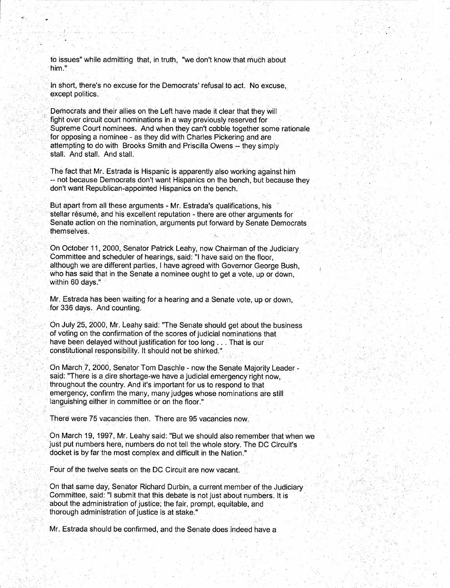to issues" while admitting that, in truth, "we don't know that much about him."

*... :.,* 

In short, there's no excuse for the Democrats' refusal to act. No excuse, except politics.

Democrats and their allies on the Left have made it clear that they will fight over circuit court nominations in a way previously reserved for Supreme Court nominees. And when they can't cobble together some rationale for opposing a nominee - as they did with Charles Pickering and are attempting to do with Brooks Smith and Priscilla Owens -- they simply stall. And stall. And stall.

The fact that Mr. Estrada is Hispanic is apparently also working against him -- not because Democrats don't want Hispanics on the bench, but because they don't want Republican-appointed Hispanics on the bench.

But apart from all these arguments - Mr. Estrada's qualifications, his , stellar résumé, and his excellent reputation - there are other arguments for Senate action on the nomination, arguments put forward by Senate Democrats themselves.

On October 11, 2000, Senator Patrick Leahy, now Chairman of the Judiciary Committee and scheduler of hearings, said: "I have said on the floor, although we are different parties, I have agreed with Governor George Bush, who has said that in the Senate a nominee ought to get a vote, up or down. within 60 days."

Mr. Estrada has been waiting for a hearing and a Senate vote, up or down, for 336 days. And counting.

On July 25, 2o00, Mr. Leahy said: "The Senate should get about the business of voting on the confirmation of the scores of judicial nominations that have been delayed without justification for too long ... That is our constitutional responsibility. It should not be shirked."

On March. 7, 2000, Senator Tom Daschle - now the Senate Majority Leader said: "There is a dire shortage-we have a judicial emergency right now, throughout the country. And it's important for us to respond to that emergency, confirm the many, many judges whose nominations are still languishing either in committee or on the floor."

There were 75 vacancies then. There are 95 vacancies now.

On March 19, 1997, Mr. Leahy said:. "But we should also remember that when we just put numbers here, numbers do not tell the whole story. The DC Circuit's docket is by far the most complex and difficult in the Nation."

Four of the twelve seats on the DC Circuit are now vacant.

·.On that same day, Senator Richard Durbin, a current member of the Judiciary Committee, said: "I submit that this debate is not just about numbers. It is about the administration of justice; the fair, prompt, equitable, and thorough administration of justice is at stake."

Mr. Estrada should be confirmed, and the Senate does indeed have a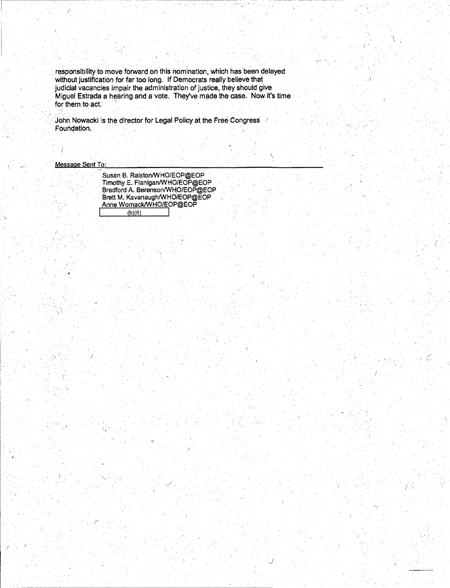'responsibility to move forward on this nomination, which has'been delayed without justification for far too long. If Democrats really believe that judicial vacancies impair the administration of justice, they should give ·Miguel Estrada a hearing and a vote. They've made the case. Now it's time for them to act.

John Nowacki is the director for Legal Policy at the Free Congress Foundation.

Message Sent To:

 $\mathcal{F}_\mathcal{X}$ 

. ·j' .2, ጎ ) 1 : 1 : 1 : 1 **. . . . . . . . . .** 

Susan B. Ralston/WHO/EOP@EOP TimotliyE. Flanigan/WHO/EOP@EOP Bradford:A. Berenson/WHO/EOP@EOP\_ Brett M.:Kavanaugh/WHO/EOP@EOP Anne Womack/WHO/EOP@EOP I . · tb)(6) I

*.)* 

 $\ddot{r}$  ,

(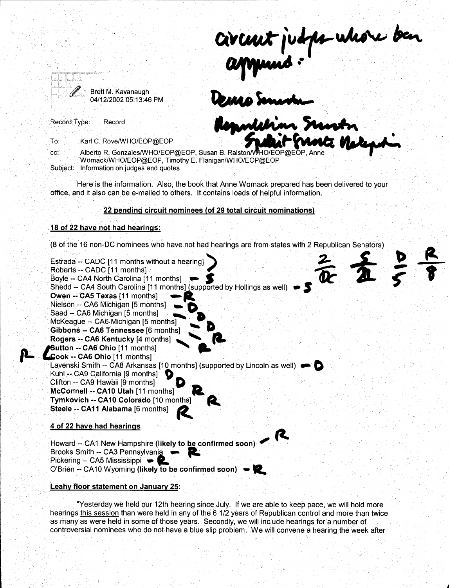Brett M. Kavanaugh 04/12/2002 05:13:46 PM Civent judge whose ben<br>appened :<br>Demosment

Record Type: Record

Karl C. Rove/WHO/EOP@EOP To:

~·

**8** 

. **\_\_\_ \_.4** 

Alberto R. Gonzales/WHO/EOP@EOP, Susan B. Ralston/WHO/EOP@EOP, Anne cc: Womack/WHO/EOP@EOP, Timothy E. Flanigan/WHO/EOP@EOP Subject: Information on judges and quotes

Here is the information. Also, the book that Anne Womack prepared has been delivered to your office, and it also can be e-mailed to others. It contains loads of helpful information. · ·

#### **22 pending circuit nominees (of 29 total circuit nominations)**

#### **18 of 22 have not had hearings:**

(8 of the 16 non-DC nominees who have not had hearings are from states with 2 Republican Senators)



#### **Leahy floor statement on January 25:**

"Yesterday we held our 12th hearing since July. If we are able to keep pace, we will hold more hearings this session than were held in any of the 6 1/2 years of Republican control and more than twice as many as were held in some of those years. Secondly, we will include hearings for a number of controversial nominees who do not have a blue slip problem. We will convene a hearing the week after